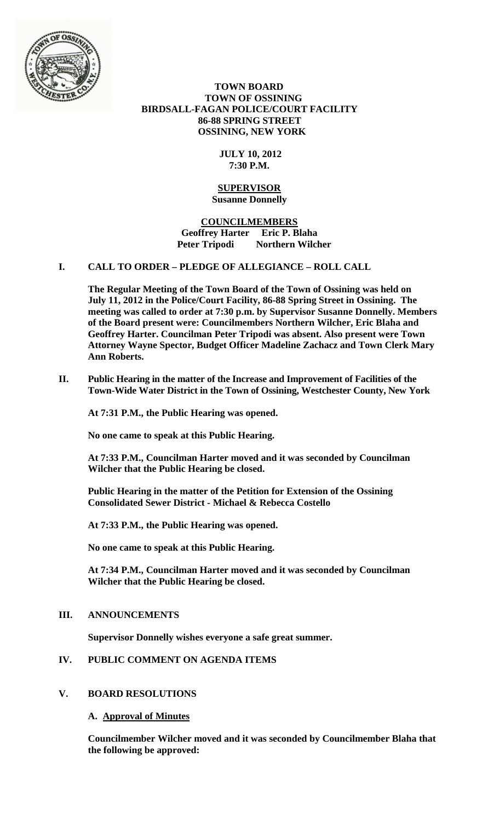

### **TOWN BOARD TOWN OF OSSINING BIRDSALL-FAGAN POLICE/COURT FACILITY 86-88 SPRING STREET OSSINING, NEW YORK**

## **JULY 10, 2012 7:30 P.M.**

#### **SUPERVISOR Susanne Donnelly**

## **COUNCILMEMBERS Geoffrey Harter Eric P. Blaha Peter Tripodi Northern Wilcher**

## **I. CALL TO ORDER – PLEDGE OF ALLEGIANCE – ROLL CALL**

**The Regular Meeting of the Town Board of the Town of Ossining was held on July 11, 2012 in the Police/Court Facility, 86-88 Spring Street in Ossining. The meeting was called to order at 7:30 p.m. by Supervisor Susanne Donnelly. Members of the Board present were: Councilmembers Northern Wilcher, Eric Blaha and Geoffrey Harter. Councilman Peter Tripodi was absent. Also present were Town Attorney Wayne Spector, Budget Officer Madeline Zachacz and Town Clerk Mary Ann Roberts.**

**II. Public Hearing in the matter of the Increase and Improvement of Facilities of the Town-Wide Water District in the Town of Ossining, Westchester County, New York**

**At 7:31 P.M., the Public Hearing was opened.**

**No one came to speak at this Public Hearing.**

**At 7:33 P.M., Councilman Harter moved and it was seconded by Councilman Wilcher that the Public Hearing be closed.**

**Public Hearing in the matter of the Petition for Extension of the Ossining Consolidated Sewer District - Michael & Rebecca Costello**

**At 7:33 P.M., the Public Hearing was opened.**

**No one came to speak at this Public Hearing.**

**At 7:34 P.M., Councilman Harter moved and it was seconded by Councilman Wilcher that the Public Hearing be closed.**

## **III. ANNOUNCEMENTS**

**Supervisor Donnelly wishes everyone a safe great summer.**

# **IV. PUBLIC COMMENT ON AGENDA ITEMS**

## **V. BOARD RESOLUTIONS**

#### **A. Approval of Minutes**

**Councilmember Wilcher moved and it was seconded by Councilmember Blaha that the following be approved:**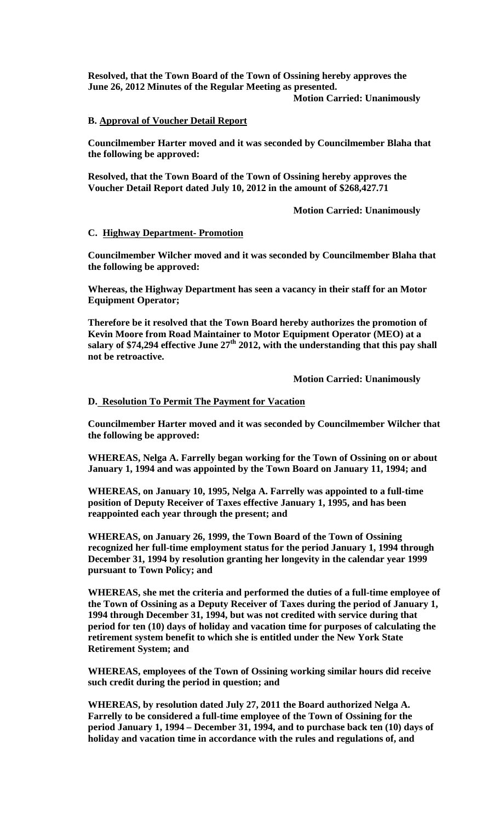**Resolved, that the Town Board of the Town of Ossining hereby approves the June 26, 2012 Minutes of the Regular Meeting as presented. Motion Carried: Unanimously**

## **B. Approval of Voucher Detail Report**

**Councilmember Harter moved and it was seconded by Councilmember Blaha that the following be approved:**

**Resolved, that the Town Board of the Town of Ossining hereby approves the Voucher Detail Report dated July 10, 2012 in the amount of \$268,427.71**

**Motion Carried: Unanimously**

#### **C. Highway Department- Promotion**

**Councilmember Wilcher moved and it was seconded by Councilmember Blaha that the following be approved:**

**Whereas, the Highway Department has seen a vacancy in their staff for an Motor Equipment Operator;**

**Therefore be it resolved that the Town Board hereby authorizes the promotion of Kevin Moore from Road Maintainer to Motor Equipment Operator (MEO) at a**  salary of \$74,294 effective June 27<sup>th</sup> 2012, with the understanding that this pay shall **not be retroactive.**

**Motion Carried: Unanimously**

### **D. Resolution To Permit The Payment for Vacation**

**Councilmember Harter moved and it was seconded by Councilmember Wilcher that the following be approved:**

**WHEREAS, Nelga A. Farrelly began working for the Town of Ossining on or about January 1, 1994 and was appointed by the Town Board on January 11, 1994; and**

**WHEREAS, on January 10, 1995, Nelga A. Farrelly was appointed to a full-time position of Deputy Receiver of Taxes effective January 1, 1995, and has been reappointed each year through the present; and**

**WHEREAS, on January 26, 1999, the Town Board of the Town of Ossining recognized her full-time employment status for the period January 1, 1994 through December 31, 1994 by resolution granting her longevity in the calendar year 1999 pursuant to Town Policy; and**

**WHEREAS, she met the criteria and performed the duties of a full-time employee of the Town of Ossining as a Deputy Receiver of Taxes during the period of January 1, 1994 through December 31, 1994, but was not credited with service during that period for ten (10) days of holiday and vacation time for purposes of calculating the retirement system benefit to which she is entitled under the New York State Retirement System; and**

**WHEREAS, employees of the Town of Ossining working similar hours did receive such credit during the period in question; and**

**WHEREAS, by resolution dated July 27, 2011 the Board authorized Nelga A. Farrelly to be considered a full-time employee of the Town of Ossining for the period January 1, 1994 – December 31, 1994, and to purchase back ten (10) days of holiday and vacation time in accordance with the rules and regulations of, and**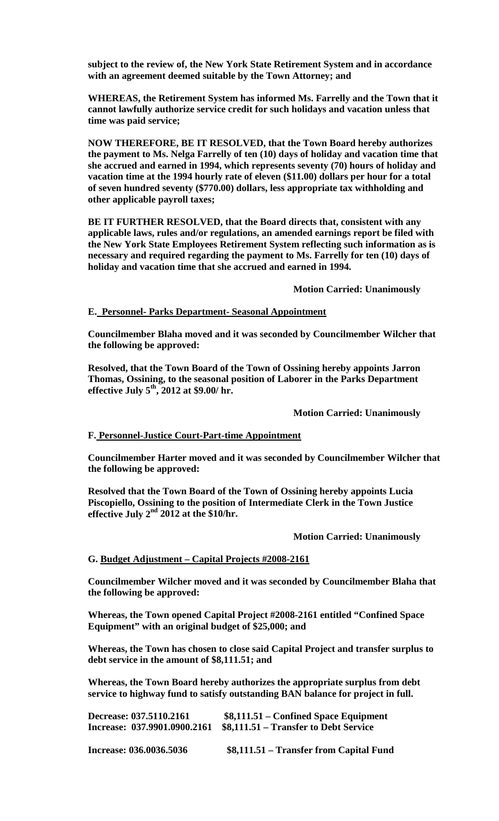**subject to the review of, the New York State Retirement System and in accordance with an agreement deemed suitable by the Town Attorney; and**

**WHEREAS, the Retirement System has informed Ms. Farrelly and the Town that it cannot lawfully authorize service credit for such holidays and vacation unless that time was paid service;** 

**NOW THEREFORE, BE IT RESOLVED, that the Town Board hereby authorizes the payment to Ms. Nelga Farrelly of ten (10) days of holiday and vacation time that she accrued and earned in 1994, which represents seventy (70) hours of holiday and vacation time at the 1994 hourly rate of eleven (\$11.00) dollars per hour for a total of seven hundred seventy (\$770.00) dollars, less appropriate tax withholding and other applicable payroll taxes;**

**BE IT FURTHER RESOLVED, that the Board directs that, consistent with any applicable laws, rules and/or regulations, an amended earnings report be filed with the New York State Employees Retirement System reflecting such information as is necessary and required regarding the payment to Ms. Farrelly for ten (10) days of holiday and vacation time that she accrued and earned in 1994.**

**Motion Carried: Unanimously**

#### **E. Personnel- Parks Department- Seasonal Appointment**

**Councilmember Blaha moved and it was seconded by Councilmember Wilcher that the following be approved:**

**Resolved, that the Town Board of the Town of Ossining hereby appoints Jarron Thomas, Ossining, to the seasonal position of Laborer in the Parks Department effective July 5th, 2012 at \$9.00/ hr.**

**Motion Carried: Unanimously**

#### **F. Personnel-Justice Court-Part-time Appointment**

**Councilmember Harter moved and it was seconded by Councilmember Wilcher that the following be approved:**

**Resolved that the Town Board of the Town of Ossining hereby appoints Lucia Piscopiello, Ossining to the position of Intermediate Clerk in the Town Justice effective July 2nd 2012 at the \$10/hr.**

**Motion Carried: Unanimously**

#### **G. Budget Adjustment – Capital Projects #2008-2161**

**Councilmember Wilcher moved and it was seconded by Councilmember Blaha that the following be approved:**

**Whereas, the Town opened Capital Project #2008-2161 entitled "Confined Space Equipment" with an original budget of \$25,000; and**

**Whereas, the Town has chosen to close said Capital Project and transfer surplus to debt service in the amount of \$8,111.51; and**

**Whereas, the Town Board hereby authorizes the appropriate surplus from debt service to highway fund to satisfy outstanding BAN balance for project in full.**

| Decrease: 037.5110.2161      | $$8,111.51 - Confined Space Equipment$  |
|------------------------------|-----------------------------------------|
| Increase: 037.9901.0900.2161 | \$8,111.51 – Transfer to Debt Service   |
| Increase: 036.0036.5036      | \$8,111.51 – Transfer from Capital Fund |